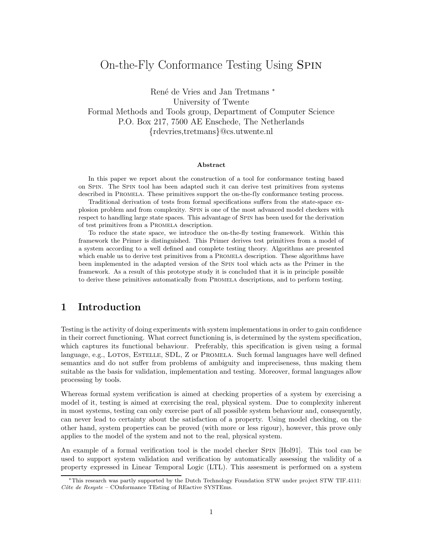# On-the-Fly Conformance Testing Using Spin

René de Vries and Jan Tretmans <sup>∗</sup> University of Twente Formal Methods and Tools group, Department of Computer Science P.O. Box 217, 7500 AE Enschede, The Netherlands {rdevries,tretmans}@cs.utwente.nl

# **Abstract**

In this paper we report about the construction of a tool for conformance testing based on Spin. The Spin tool has been adapted such it can derive test primitives from systems described in Promela. These primitives support the on-the-fly conformance testing process.

Traditional derivation of tests from formal specifications suffers from the state-space explosion problem and from complexity. Spin is one of the most advanced model checkers with respect to handling large state spaces. This advantage of Spin has been used for the derivation of test primitives from a Promela description.

To reduce the state space, we introduce the on-the-fly testing framework. Within this framework the Primer is distinguished. This Primer derives test primitives from a model of a system according to a well defined and complete testing theory. Algorithms are presented which enable us to derive test primitives from a PROMELA description. These algorithms have been implemented in the adapted version of the Spin tool which acts as the Primer in the framework. As a result of this prototype study it is concluded that it is in principle possible to derive these primitives automatically from Promela descriptions, and to perform testing.

# **1 Introduction**

Testing is the activity of doing experiments with system implementations in order to gain confidence in their correct functioning. What correct functioning is, is determined by the system specification, which captures its functional behaviour. Preferably, this specification is given using a formal language, e.g., LOTOS, ESTELLE, SDL, Z or PROMELA. Such formal languages have well defined semantics and do not suffer from problems of ambiguity and impreciseness, thus making them suitable as the basis for validation, implementation and testing. Moreover, formal languages allow processing by tools.

Whereas formal system verification is aimed at checking properties of a system by exercising a model of it, testing is aimed at exercising the real, physical system. Due to complexity inherent in most systems, testing can only exercise part of all possible system behaviour and, consequently, can never lead to certainty about the satisfaction of a property. Using model checking, on the other hand, system properties can be proved (with more or less rigour), however, this prove only applies to the model of the system and not to the real, physical system.

An example of a formal verification tool is the model checker Spin [Hol91]. This tool can be used to support system validation and verification by automatically assessing the validity of a property expressed in Linear Temporal Logic (LTL). This assesment is performed on a system

<sup>∗</sup>This research was partly supported by the Dutch Technology Foundation STW under project STW TIF.4111:  $C\hat{o}te$  de  $Resuste$  – COnformance TEsting of REactive SYSTEms.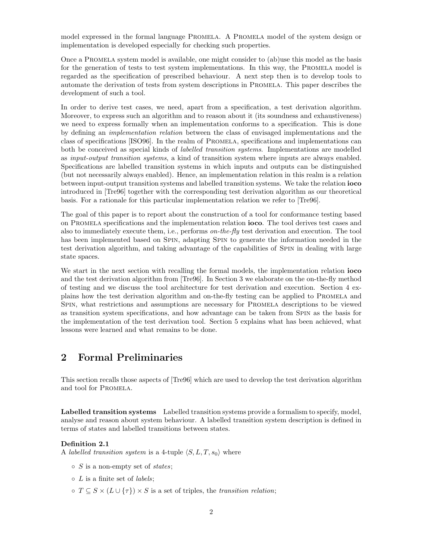model expressed in the formal language PROMELA. A PROMELA model of the system design or implementation is developed especially for checking such properties.

Once a Promela system model is available, one might consider to (ab)use this model as the basis for the generation of tests to test system implementations. In this way, the PROMELA model is regarded as the specification of prescribed behaviour. A next step then is to develop tools to automate the derivation of tests from system descriptions in Promela. This paper describes the development of such a tool.

In order to derive test cases, we need, apart from a specification, a test derivation algorithm. Moreover, to express such an algorithm and to reason about it (its soundness and exhaustiveness) we need to express formally when an implementation conforms to a specification. This is done by defining an implementation relation between the class of envisaged implementations and the class of specifications [ISO96]. In the realm of Promela, specifications and implementations can both be conceived as special kinds of *labelled transition systems*. Implementations are modelled as input-output transition systems, a kind of transition system where inputs are always enabled. Specifications are labelled transition systems in which inputs and outputs can be distinguished (but not necessarily always enabled). Hence, an implementation relation in this realm is a relation between input-output transition systems and labelled transition systems. We take the relation **ioco** introduced in [Tre96] together with the corresponding test derivation algorithm as our theoretical basis. For a rationale for this particular implementation relation we refer to [Tre96].

The goal of this paper is to report about the construction of a tool for conformance testing based on Promela specifications and the implementation relation **ioco**. The tool derives test cases and also to immediately execute them, i.e., performs on-the-fly test derivation and execution. The tool has been implemented based on SPIN, adapting SPIN to generate the information needed in the test derivation algorithm, and taking advantage of the capabilities of Spin in dealing with large state spaces.

We start in the next section with recalling the formal models, the implementation relation **ioco** and the test derivation algorithm from [Tre96]. In Section 3 we elaborate on the on-the-fly method of testing and we discuss the tool architecture for test derivation and execution. Section 4 explains how the test derivation algorithm and on-the-fly testing can be applied to Promela and Spin, what restrictions and assumptions are necessary for Promela descriptions to be viewed as transition system specifications, and how advantage can be taken from Spin as the basis for the implementation of the test derivation tool. Section 5 explains what has been achieved, what lessons were learned and what remains to be done.

# **2 Formal Preliminaries**

This section recalls those aspects of [Tre96] which are used to develop the test derivation algorithm and tool for Promela.

**Labelled transition systems** Labelled transition systems provide a formalism to specify, model, analyse and reason about system behaviour. A labelled transition system description is defined in terms of states and labelled transitions between states.

# **Definition 2.1**

A *labelled transition system* is a 4-tuple  $\langle S, L, T, s_0 \rangle$  where

- $\circ$  S is a non-empty set of states;
- $\circ$  *L* is a finite set of *labels*;
- $\circ T \subseteq S \times (L \cup \{\tau\}) \times S$  is a set of triples, the transition relation;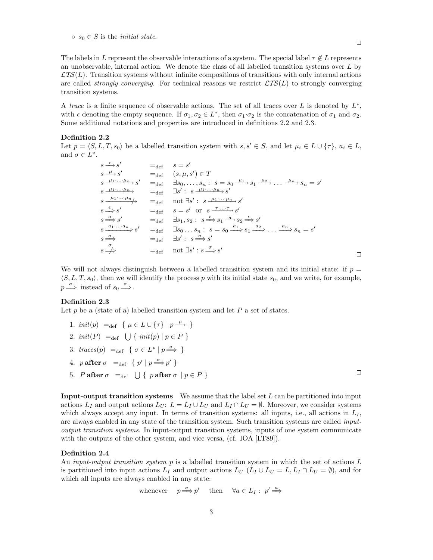The labels in L represent the observable interactions of a system. The special label  $\tau \notin L$  represents an unobservable, internal action. We denote the class of all labelled transition systems over L by  $\mathcal{L}TS(L)$ . Transition systems without infinite compositions of transitions with only internal actions are called *strongly converging*. For technical reasons we restrict  $\mathcal{L}TS(L)$  to strongly converging transition systems.

A trace is a finite sequence of observable actions. The set of all traces over L is denoted by  $L^*$ , with  $\epsilon$  denoting the empty sequence. If  $\sigma_1, \sigma_2 \in L^*$ , then  $\sigma_1 \cdot \sigma_2$  is the concatenation of  $\sigma_1$  and  $\sigma_2$ . Some additional notations and properties are introduced in definitions 2.2 and 2.3.

### **Definition 2.2**

Let  $p = \langle S, L, T, s_0 \rangle$  be a labelled transition system with  $s, s' \in S$ , and let  $\mu_i \in L \cup \{\tau\}, a_i \in L$ , and  $\sigma \in L^*$ .

$$
s \xrightarrow{\epsilon} s'
$$
  
\n
$$
s \xrightarrow{\mu} s'
$$
  
\n
$$
s \xrightarrow{\mu_1 \dots \mu_n} s'
$$
  
\n
$$
s \xrightarrow{\mu_1 \dots \mu_n} s'
$$
  
\n
$$
= \det \quad \exists s_0, \dots, s_n : s = s_0 \xrightarrow{\mu_1} s_1 \xrightarrow{\mu_2} \dots \xrightarrow{\mu_n} s_n = s'
$$
  
\n
$$
s \xrightarrow{\mu_1 \dots \mu_n} s'
$$
  
\n
$$
s \xrightarrow{\mu_1 \dots \mu_n} s'
$$
  
\n
$$
s \xrightarrow{\epsilon} s'
$$
  
\n
$$
s \xrightarrow{\epsilon} s'
$$
  
\n
$$
s \xrightarrow{\epsilon} s'
$$
  
\n
$$
s \xrightarrow{\epsilon} s'
$$
  
\n
$$
s \xrightarrow{\alpha} s'
$$
  
\n
$$
s \xrightarrow{\alpha} s'
$$
  
\n
$$
s \xrightarrow{\alpha} s'
$$
  
\n
$$
s \xrightarrow{\alpha} s'
$$
  
\n
$$
s \xrightarrow{\alpha} s'
$$
  
\n
$$
s \xrightarrow{\alpha} s'
$$
  
\n
$$
s \xrightarrow{\alpha} s'
$$
  
\n
$$
s \xrightarrow{\alpha} s'
$$
  
\n
$$
s \xrightarrow{\alpha} s'
$$
  
\n
$$
s \xrightarrow{\alpha} s'
$$
  
\n
$$
s \xrightarrow{\alpha} s'
$$
  
\n
$$
s \xrightarrow{\alpha} s'
$$
  
\n
$$
s \xrightarrow{\alpha} s'
$$
  
\n
$$
s \xrightarrow{\alpha} s'
$$
  
\n
$$
s \xrightarrow{\alpha} s'
$$
  
\n
$$
s \xrightarrow{\alpha} s'
$$
  
\n
$$
s \xrightarrow{\alpha} s'
$$
  
\n
$$
s \xrightarrow{\alpha} s'
$$
  
\n
$$
s \xrightarrow{\alpha} s'
$$
  
\n
$$
s \xrightarrow{\alpha} s'
$$
  
\n
$$
s \xrightarrow{\alpha} s'
$$
  
\n
$$
s \xrightarrow{\alpha} s'
$$
  
\n
$$
s \xrightarrow{\alpha} s'
$$
  
\n
$$
s \xrightarrow{\
$$

We will not always distinguish between a labelled transition system and its initial state: if  $p =$  $\langle S, L, T, s_0 \rangle$ , then we will identify the process p with its initial state  $s_0$ , and we write, for example,  $p \stackrel{\sigma}{\Longrightarrow}$  instead of  $s_0 \stackrel{\sigma}{\Longrightarrow}$ .

## **Definition 2.3**

Let  $p$  be a (state of a) labelled transition system and let  $P$  a set of states.

1.  $init(p) =_{def} \{ \mu \in L \cup \{\tau\} \mid p \stackrel{\mu}{\longrightarrow} \}$ 2.  $init(P) =_{def} \{ \text{init}(p) \mid p \in P \}$ 3. traces $(p) = \text{def} \{ \sigma \in L^* \mid p \stackrel{\sigma}{\Longrightarrow} \}$ 4.  $p \text{ after } \sigma =_{def} \{ p' \mid p \stackrel{\sigma}{\Longrightarrow} p' \}$ 5. P **after**  $\sigma =_{def} \bigcup \{ p \text{ after } \sigma \mid p \in P \}$ 

**Input-output transition systems** We assume that the label set L can be partitioned into input actions  $L_I$  and output actions  $L_U$ :  $L = L_I \cup L_U$  and  $L_I \cap L_U = \emptyset$ . Moreover, we consider systems which always accept any input. In terms of transition systems: all inputs, i.e., all actions in  $L_I$ , are always enabled in any state of the transition system. Such transition systems are called inputoutput transition systems. In input-output transition systems, inputs of one system communicate with the outputs of the other system, and vice versa, (cf. IOA [LT89]).

#### **Definition 2.4**

An *input-output transition system*  $p$  is a labelled transition system in which the set of actions  $L$ is partitioned into input actions  $L_I$  and output actions  $L_U$  ( $L_I \cup L_U = L, L_I \cap L_U = \emptyset$ ), and for which all inputs are always enabled in any state:

whenever 
$$
p \stackrel{\sigma}{\Longrightarrow} p'
$$
 then  $\forall a \in L_I : p' \stackrel{a}{\Longrightarrow}$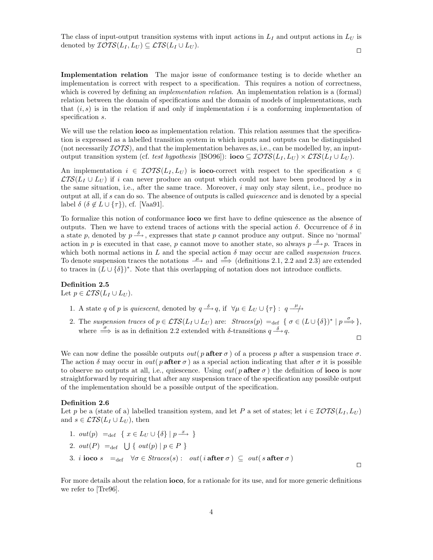The class of input-output transition systems with input actions in  $L_I$  and output actions in  $L_U$  is denoted by  $\mathcal{IOTS}(L_I, L_U) \subseteq \mathcal{LTS}(L_I \cup L_U)$ .  $\Box$ 

**Implementation relation** The major issue of conformance testing is to decide whether an implementation is correct with respect to a specification. This requires a notion of correctness, which is covered by defining an *implementation relation*. An implementation relation is a (formal) relation between the domain of specifications and the domain of models of implementations, such that  $(i, s)$  is in the relation if and only if implementation i is a conforming implementation of specification s.

We will use the relation **ioco** as implementation relation. This relation assumes that the specification is expressed as a labelled transition system in which inputs and outputs can be distinguished (not necessarily  $\mathcal{I}OTS$ ), and that the implementation behaves as, i.e., can be modelled by, an inputoutput transition system (cf. test hypothesis [ISO96]): **ioco**  $\subseteq$  IOTS( $L_I, L_U$ )  $\times$  LTS( $L_I \cup L_U$ ).

An implementation  $i \in \text{TOTS}(L_I, L_U)$  is **ioco**-correct with respect to the specification  $s \in$  $\mathcal{L}TS(L_I \cup L_U)$  if i can never produce an output which could not have been produced by s in the same situation, i.e., after the same trace. Moreover,  $i$  may only stay silent, i.e., produce no output at all, if s can do so. The absence of outputs is called quiescence and is denoted by a special label  $\delta$  ( $\delta \notin L \cup \{\tau\}$ ), cf. [Vaa91].

To formalize this notion of conformance **ioco** we first have to define quiescence as the absence of outputs. Then we have to extend traces of actions with the special action  $\delta$ . Occurrence of  $\delta$  in a state p, denoted by  $p \stackrel{\delta}{\longrightarrow}$ , expresses that state p cannot produce any output. Since no 'normal' action in p is executed in that case, p cannot move to another state, so always  $p \stackrel{\delta}{\longrightarrow} p$ . Traces in which both normal actions in L and the special action  $\delta$  may occur are called *suspension traces*. To denote suspension traces the notations  $\stackrel{\tau}{\longrightarrow}$  and  $\stackrel{\sigma}{\implies}$  (definitions 2.1, 2.2 and 2.3) are extended to traces in  $(L \cup {\delta})^*$ . Note that this overlapping of notation does not introduce conflicts.

## **Definition 2.5**

Let  $p \in \mathcal{L}TS(L_I \cup L_U)$ .

- 1. A state q of p is quiescent, denoted by  $q \stackrel{\delta}{\longrightarrow} q$ , if  $\forall \mu \in L_U \cup \{\tau\} : q \stackrel{\mu}{\longrightarrow}$
- 2. The suspension traces of  $p \in \mathcal{LTS}(L_I \cup L_U)$  are:  $Straces(p) =_{\text{def}} {\sigma \in (L \cup {\delta})^* \mid p \stackrel{\sigma}{\Longrightarrow}}$ , where  $\stackrel{\sigma}{\Longrightarrow}$  is as in definition 2.2 extended with  $\delta$ -transitions  $q \stackrel{\delta}{\longrightarrow} q$ .

 $\Box$ 

 $\Box$ 

We can now define the possible outputs  $out(p \text{ after } \sigma)$  of a process p after a suspension trace  $\sigma$ . The action  $\delta$  may occur in *out*( p **after**  $\sigma$ ) as a special action indicating that after  $\sigma$  it is possible to observe no outputs at all, i.e., quiescence. Using *out*( $p$  after  $\sigma$ ) the definition of **ioco** is now straightforward by requiring that after any suspension trace of the specification any possible output of the implementation should be a possible output of the specification.

### **Definition 2.6**

Let p be a (state of a) labelled transition system, and let P a set of states; let  $i \in \mathcal{IOTS}(L_I, L_U)$ and  $s \in \mathcal{L}TS(L_I \cup L_U)$ , then

\n- 1. 
$$
out(p) = \text{def} \{ x \in L_U \cup \{\delta\} \mid p \xrightarrow{x} \}
$$
\n- 2.  $out(P) = \text{def} \bigcup \{ out(p) \mid p \in P \}$
\n- 3.  $i \text{ is } s = \text{def} \forall \sigma \in \text{Straces}(s) : out(i \text{ after } \sigma) \subseteq out(s \text{ after } \sigma)$
\n

For more details about the relation **ioco**, for a rationale for its use, and for more generic definitions we refer to [Tre96].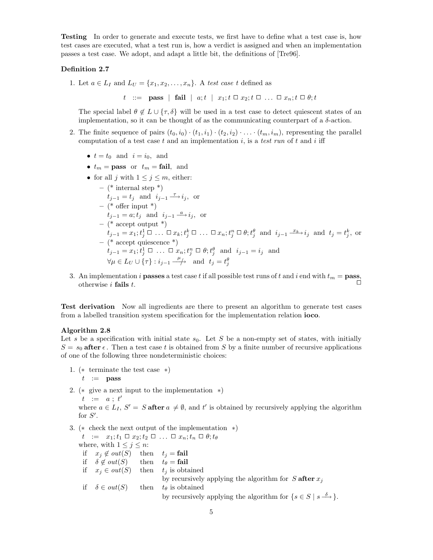**Testing** In order to generate and execute tests, we first have to define what a test case is, how test cases are executed, what a test run is, how a verdict is assigned and when an implementation passes a test case. We adopt, and adapt a little bit, the definitions of [Tre96].

# **Definition 2.7**

1. Let  $a \in L_I$  and  $L_U = \{x_1, x_2, \ldots, x_n\}$ . A test case t defined as

t ::= **pass** | **fail** |  $a; t$  |  $x_1; t \square x_2; t \square ... \square x_n; t \square \theta; t$ 

The special label  $\theta \notin L \cup \{\tau, \delta\}$  will be used in a test case to detect quiescent states of an implementation, so it can be thought of as the communicating counterpart of a  $\delta$ -action.

- 2. The finite sequence of pairs  $(t_0, i_0) \cdot (t_1, i_1) \cdot (t_2, i_2) \cdot \ldots \cdot (t_m, i_m)$ , representing the parallel computation of a test case t and an implementation i, is a test run of t and i iff
	- $t = t_0$  and  $i = i_0$ , and
	- $t_m = \textbf{pass}$  or  $t_m = \textbf{fail}$ , and
	- for all j with  $1 \leq j \leq m$ , either:

\n- \n
$$
(\ast \text{ internal step }^*)
$$
\n $t_{j-1} = t_j$  and  $i_{j-1} \xrightarrow{\tau} i_j$ , or\n  $-(\ast \text{ offer input }^*)$ \n $t_{j-1} = a; t_j$  and  $i_{j-1} \xrightarrow{a} i_j$ , or\n  $-(\ast \text{ accept output }^*)$ \n $t_{j-1} = x_1; t_j^1 \square \dots \square x_k; t_j^k \square \dots \square x_n; t_j^n \square \theta; t_j^{\theta}$  and  $i_{j-1} \xrightarrow{x_k} i_j$  and  $t_j = t_j^k$ , or\n  $-(\ast \text{ accept quiescence }^*)$ \n $t_{j-1} = x_1; t_j^1 \square \dots \square x_n; t_j^n \square \theta; t_j^{\theta}$  and  $i_{j-1} = i_j$  and\n  $\forall \mu \in L_U \cup \{\tau\} : i_{j-1} \xrightarrow{\mu} \text{ and } t_j = t_j^{\theta}$ \n
\n

3. An implementation i **passes** a test case t if all possible test runs of t and i end with  $t_m = \textbf{pass}$ , otherwise i **fails** t.  $\Box$ 

**Test derivation** Now all ingredients are there to present an algorithm to generate test cases from a labelled transition system specification for the implementation relation **ioco**.

## **Algorithm 2.8**

Let s be a specification with initial state  $s_0$ . Let S be a non-empty set of states, with initially  $S = s_0$  after  $\epsilon$ . Then a test case t is obtained from S by a finite number of recursive applications of one of the following three nondeterministic choices:

1. (∗ terminate the test case ∗)

$$
t \ \ := \ \ \mathbf{pass}
$$

2. (∗ give a next input to the implementation ∗)

 $t \hspace{.1in} := \hspace{.1in} a \; ; \; t'$ 

where  $a \in L_I$ ,  $S' = S$  after  $a \neq \emptyset$ , and t' is obtained by recursively applying the algorithm for  $S'.$ 

3. (∗ check the next output of the implementation ∗)

 $t := x_1; t_1 \square x_2; t_2 \square ... \square x_n; t_n \square \theta; t_{\theta}$ where, with  $1 \leq j \leq n$ : if  $x_j \notin out(S)$  then  $t_j = \text{fail}$ if  $\delta \notin out(S)$ then  $t_{\theta} = \text{fail}$ if  $x_j \in out(S)$  then  $t_j$  is obtained by recursively applying the algorithm for  $S$  after  $x_j$ if  $\delta \in out(S)$  then  $t_{\theta}$  is obtained by recursively applying the algorithm for  $\{s \in S \mid s \stackrel{\delta}{\longrightarrow}\}.$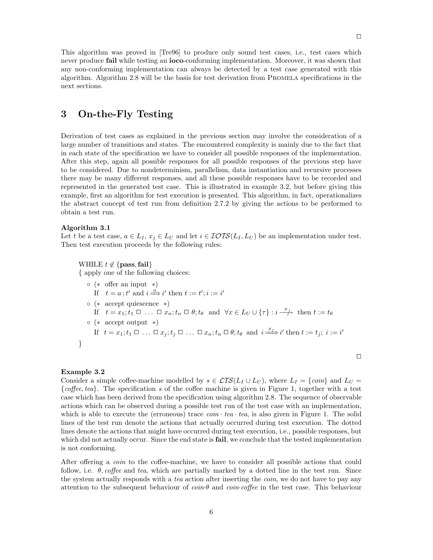This algorithm was proved in [Tre96] to produce only sound test cases, i.e., test cases which never produce **fail** while testing an **ioco**-conforming implementation. Moreover, it was shown that any non-conforming implementation can always be detected by a test case generated with this algorithm. Algorithm 2.8 will be the basis for test derivation from Promela specifications in the next sections.

# **3 On-the-Fly Testing**

Derivation of test cases as explained in the previous section may involve the consideration of a large number of transitions and states. The encountered complexity is mainly due to the fact that in each state of the specification we have to consider all possible responses of the implementation. After this step, again all possible responses for all possible responses of the previous step have to be considered. Due to nondeterminism, parallelism, data instantiation and recursive processes there may be many different responses, and all these possible responses have to be recorded and represented in the generated test case. This is illustrated in example 3.2, but before giving this example, first an algorithm for test execution is presented. This algorithm, in fact, operationalizes the abstract concept of test run from definition 2.7.2 by giving the actions to be performed to obtain a test run.

### **Algorithm 3.1**

Let t be a test case,  $a \in L_I$ ,  $x_j \in L_U$  and let  $i \in \mathcal{IOTS}(L_I, L_U)$  be an implementation under test. Then test execution proceeds by the following rules:

WHILE 
$$
t \notin \{ \text{pass}, \text{fail} \}
$$

{ apply one of the following choices:

\n- \n
$$
(\ast \text{ offer an input } *)
$$
\n
\n- \n If  $t = a$ ;  $t'$  and  $i \stackrel{a}{\Longrightarrow} i'$  then  $t := t'; i := i'$ \n
\n- \n (  $*\text{ accept quiescence } *)$ \n
\n- \n If  $t = x_1; t_1 \square \ldots \square x_n; t_n \square \theta; t_\theta \text{ and } \forall x \in L_U \cup \{\tau\} : i \stackrel{x}{\longrightarrow} \text{ then } t := t_\theta$ \n
\n- \n (  $*\text{ accept output } *)$ \n
\n- \n If  $t = x_1; t_1 \square \ldots \square x_j; t_j \square \ldots \square x_n; t_n \square \theta; t_\theta \text{ and } i \stackrel{x_j}{\Longrightarrow} i' \text{ then } t := t_j; i := i'$ \n
\n

# **Example 3.2**

}

Consider a simple coffee-machine modelled by  $s \in \mathcal{LTS}(L_I \cup L_U)$ , where  $L_I = \{coin\}$  and  $L_U =$ {coffee, tea}. The specification s of the coffee machine is given in Figure 1, together with a test case which has been derived from the specification using algorithm 2.8. The sequence of observable actions which can be observed during a possible test run of the test case with an implementation, which is able to execute the (erroneous) trace  $coin \cdot tea \cdot tea$ , is also given in Figure 1. The solid lines of the test run denote the actions that actually occurred during test execution. The dotted lines denote the actions that might have occurred during test execution, i.e., possible responses, but which did not actually occur. Since the end state is **fail**, we conclude that the tested implementation is not conforming.

After offering a *coin* to the coffee-machine, we have to consider all possible actions that could follow, i.e.  $\theta$ , coffee and tea, which are partially marked by a dotted line in the test run. Since the system actually responds with a tea action after inserting the *coin*, we do not have to pay any attention to the subsequent behaviour of  $\coin \theta$  and  $\coin \circ$  of fee in the test case. This behaviour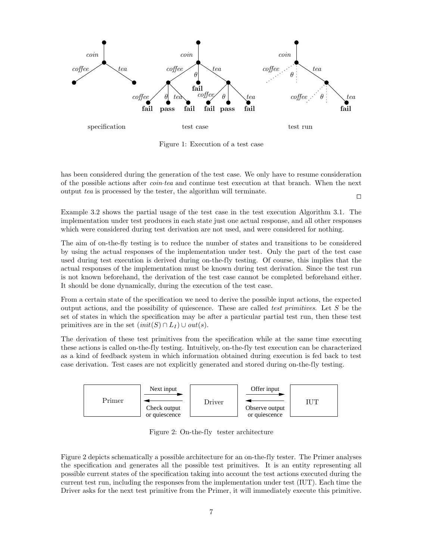

Figure 1: Execution of a test case

has been considered during the generation of the test case. We only have to resume consideration of the possible actions after coin·tea and continue test execution at that branch. When the next output tea is processed by the tester, the algorithm will terminate.  $\Box$ 

Example 3.2 shows the partial usage of the test case in the test execution Algorithm 3.1. The implementation under test produces in each state just one actual response, and all other responses which were considered during test derivation are not used, and were considered for nothing.

The aim of on-the-fly testing is to reduce the number of states and transitions to be considered by using the actual responses of the implementation under test. Only the part of the test case used during test execution is derived during on-the-fly testing. Of course, this implies that the actual responses of the implementation must be known during test derivation. Since the test run is not known beforehand, the derivation of the test case cannot be completed beforehand either. It should be done dynamically, during the execution of the test case.

From a certain state of the specification we need to derive the possible input actions, the expected output actions, and the possibility of quiescence. These are called test primitives. Let S be the set of states in which the specification may be after a particular partial test run, then these test primitives are in the set  $(int(S) \cap L_I) \cup out(s)$ .

The derivation of these test primitives from the specification while at the same time executing these actions is called on-the-fly testing. Intuitively, on-the-fly test execution can be characterized as a kind of feedback system in which information obtained during execution is fed back to test case derivation. Test cases are not explicitly generated and stored during on-the-fly testing.



Figure 2: On-the-fly tester architecture

Figure 2 depicts schematically a possible architecture for an on-the-fly tester. The Primer analyses the specification and generates all the possible test primitives. It is an entity representing all possible current states of the specification taking into account the test actions executed during the current test run, including the responses from the implementation under test (IUT). Each time the Driver asks for the next test primitive from the Primer, it will immediately execute this primitive.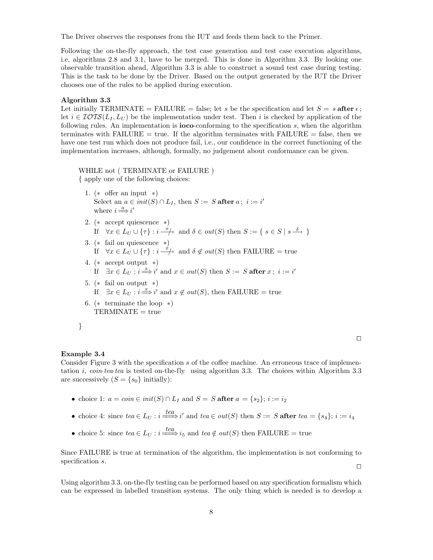The Driver observes the responses from the IUT and feeds them back to the Primer.

Following the on-the-fly approach, the test case generation and test case execution algorithms, i.e, algorithms 2.8 and 3.1, have to be merged. This is done in Algorithm 3.3. By looking one observable transition ahead, Algorithm 3.3 is able to construct a sound test case during testing. This is the task to be done by the Driver. Based on the output generated by the IUT the Driver chooses one of the rules to be applied during execution.

## **Algorithm 3.3**

Let initially TERMINATE = FAILURE = false; let s be the specification and let  $S = s$  after  $\epsilon$ ; let  $i \in \mathcal{IOTS}(L_I, L_U)$  be the implementation under test. Then i is checked by application of the following rules. An implementation is **ioco**-conforming to the specification s, when the algorithm terminates with FAILURE  $=$  true. If the algorithm terminates with FAILURE  $=$  false, then we have one test run which does not produce fail, i.e., our confidence in the correct functioning of the implementation increases, although, formally, no judgement about conformance can be given.

WHILE not ( TERMINATE or FAILURE ) { apply one of the following choices:

- 1. (∗ offer an input ∗) Select an  $a \in init(S) \cap L_I$ , then  $S := S$  after  $a \, ; \, i := i'$ where  $i \stackrel{a}{\Longrightarrow} i'$
- 2. (∗ accept quiescence ∗) If  $\forall x \in L_U \cup \{\tau\} : i \stackrel{x}{\longrightarrow} \text{ and } \delta \in out(S) \text{ then } S := \{ s \in S \mid s \stackrel{\delta}{\longrightarrow} \}$
- 3. (∗ fail on quiescence ∗) If  $\forall x \in L_U \cup \{\tau\} : i \stackrel{\dot{x}}{\longrightarrow} \text{ and } \delta \notin out(S) \text{ then FAILURE} = \text{true}$
- 4. (∗ accept output ∗) If  $\exists x \in L_U : i \stackrel{x}{\Longrightarrow} i'$  and  $x \in out(S)$  then  $S := S$  **after**  $x; i := i'$
- 5.  $(*$  fail on output  $*)$ If  $\exists x \in L_U : i \Longrightarrow i'$  and  $x \notin out(S)$ , then FAILURE = true
- 6. ( $*$  terminate the loop  $*$ )  $TERMINATE = true$

| ٧ |
|---|
|   |
|   |
|   |
|   |
|   |
|   |
|   |
|   |
|   |
|   |
|   |

# **Example 3.4**

Consider Figure 3 with the specification s of the coffee machine. An erroneous trace of implementation *i, coin-tea-tea* is tested on-the-fly using algorithm 3.3. The choices within Algorithm 3.3 are successively  $(S = \{s_0\} \text{ initially})$ :

- choice 1:  $a = coin \in init(S) \cap L_I$  and  $S = S$  after  $a = \{s_2\}; i := i_2$
- choice 4: since  $tea \in L_U : i \xrightarrow{tea} i'$  and  $tea \in out(S)$  then  $S := S$  after  $tea = \{s_4\}; i := i_4$
- choice 5: since  $tea \in L_U : i \xrightarrow{tea} i_5$  and  $tea \notin out(S)$  then FAILURE = true

Since FAILURE is true at termination of the algorithm, the implementation is not conforming to specification s.  $\Box$ 

Using algorithm 3.3, on-the-fly testing can be performed based on any specification formalism which can be expressed in labelled transition systems. The only thing which is needed is to develop a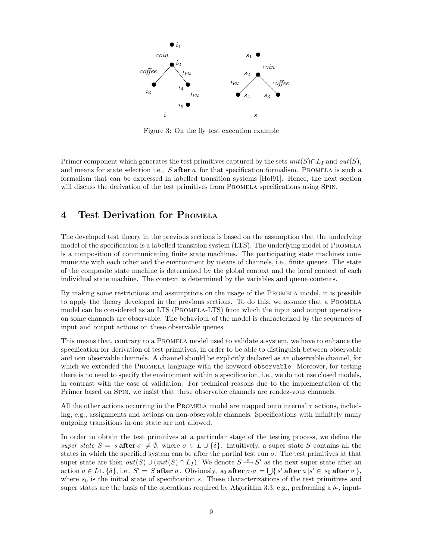

Figure 3: On the fly test execution example

Primer component which generates the test primitives captured by the sets  $init(S) \cap L_I$  and  $out(S)$ , and means for state selection i.e., S **after** a for that specification formalism. Promela is such a formalism that can be expressed in labelled transition systems [Hol91]. Hence, the next section will discuss the derivation of the test primitives from PROMELA specifications using SPIN.

# **4 Test Derivation for PROMELA**

The developed test theory in the previous sections is based on the assumption that the underlying model of the specification is a labelled transition system (LTS). The underlying model of PROMELA is a composition of communicating finite state machines. The participating state machines communicate with each other and the environment by means of channels, i.e., finite queues. The state of the composite state machine is determined by the global context and the local context of each individual state machine. The context is determined by the variables and queue contents.

By making some restrictions and assumptions on the usage of the PROMELA model, it is possible to apply the theory developed in the previous sections. To do this, we assume that a Promela model can be considered as an LTS (PROMELA-LTS) from which the input and output operations on some channels are observable. The behaviour of the model is characterized by the sequences of input and output actions on these observable queues.

This means that, contrary to a Promela model used to validate a system, we have to enhance the specification for derivation of test primitives, in order to be able to distinguish between observable and non observable channels. A channel should be explicitly declared as an observable channel, for which we extended the PROMELA language with the keyword observable. Moreover, for testing there is no need to specify the environment within a specification, i.e., we do not use closed models, in contrast with the case of validation. For technical reasons due to the implementation of the Primer based on Spin, we insist that these observable channels are rendez-vous channels.

All the other actions occurring in the PROMELA model are mapped onto internal  $\tau$  actions, including, e.g., assignments and actions on non-observable channels. Specifications with infinitely many outgoing transitions in one state are not allowed.

In order to obtain the test primitives at a particular stage of the testing process, we define the super state  $S = s$  after  $\sigma \neq \emptyset$ , where  $\sigma \in L \cup \{\delta\}$ . Intuitively, a super state S contains all the states in which the specified system can be after the partial test run  $\sigma$ . The test primitives at that super state are then  $out(S) \cup (init(S) \cap L_I)$ . We denote  $S \stackrel{a}{\longrightarrow} S'$  as the next super state after an  $\text{action } a \in L \cup \{\delta\}, \text{ i.e., } S' = S \text{ after } a$ . Obviously,  $s_0$  after  $\sigma \cdot a = \bigcup \{s' \text{ after } a | s' \in s_0 \text{ after } \sigma\},$ where  $s_0$  is the initial state of specification s. These characterizations of the test primitives and super states are the basis of the operations required by Algorithm 3.3, e.g., performing a  $\delta$ -, input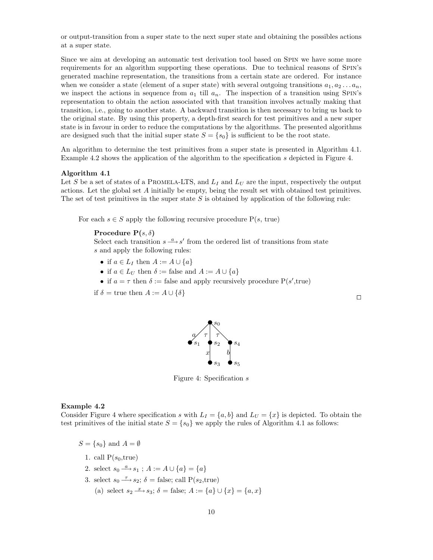or output-transition from a super state to the next super state and obtaining the possibles actions at a super state.

Since we aim at developing an automatic test derivation tool based on Spin we have some more requirements for an algorithm supporting these operations. Due to technical reasons of Spin's generated machine representation, the transitions from a certain state are ordered. For instance when we consider a state (element of a super state) with several outgoing transitions  $a_1, a_2 \ldots a_n$ , we inspect the actions in sequence from  $a_1$  till  $a_n$ . The inspection of a transition using SPIN's representation to obtain the action associated with that transition involves actually making that transition, i.e., going to another state. A backward transition is then necessary to bring us back to the original state. By using this property, a depth-first search for test primitives and a new super state is in favour in order to reduce the computations by the algorithms. The presented algorithms are designed such that the initial super state  $S = \{s_0\}$  is sufficient to be the root state.

An algorithm to determine the test primitives from a super state is presented in Algorithm 4.1. Example 4.2 shows the application of the algorithm to the specification s depicted in Figure 4.

#### **Algorithm 4.1**

Let S be a set of states of a PROMELA-LTS, and  $L_I$  and  $L_U$  are the input, respectively the output actions. Let the global set A initially be empty, being the result set with obtained test primitives. The set of test primitives in the super state  $S$  is obtained by application of the following rule:

For each  $s \in S$  apply the following recursive procedure  $P(s, true)$ 

## **Procedure P** $(s, \delta)$

Select each transition  $s \stackrel{a}{\longrightarrow} s'$  from the ordered list of transitions from state s and apply the following rules:

- if  $a \in L_I$  then  $A := A \cup \{a\}$
- if  $a \in L_U$  then  $\delta := \text{false}$  and  $A := A \cup \{a\}$
- if  $a = \tau$  then  $\delta :=$  false and apply recursively procedure  $P(s', true)$

 $a\sqrt{\tau}$  |  $\tau$ 

if  $\delta$  = true then  $A := A \cup \{\delta\}$ 



 $\mathcal{S}_0$ 

 $x \vert$  b

 $s_1 \bullet s_2 \bullet s_4$ 

Figure 4: Specification s

#### **Example 4.2**

Consider Figure 4 where specification s with  $L_I = \{a, b\}$  and  $L_U = \{x\}$  is depicted. To obtain the test primitives of the initial state  $S = \{s_0\}$  we apply the rules of Algorithm 4.1 as follows:

 $S = \{s_0\}$  and  $A = \emptyset$ 

- 1. call  $P(s_0, true)$
- 2. select  $s_0 \stackrel{a}{\longrightarrow} s_1$ ;  $A := A \cup \{a\} = \{a\}$
- 3. select  $s_0 \stackrel{\tau}{\longrightarrow} s_2$ ;  $\delta$  = false; call  $P(s_2, true)$ 
	- (a) select  $s_2 \xrightarrow{x} s_3$ ;  $\delta = \text{false}$ ;  $A := \{a\} \cup \{x\} = \{a, x\}$

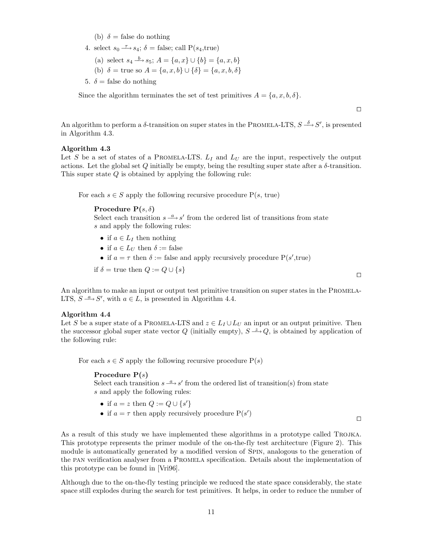- (b)  $\delta$  = false do nothing
- 4. select  $s_0 \stackrel{\tau}{\longrightarrow} s_4$ ;  $\delta$  = false; call  $P(s_4, true)$ 
	- (a) select  $s_4 \xrightarrow{b} s_5$ ;  $A = \{a, x\} \cup \{b\} = \{a, x, b\}$
	- (b)  $\delta$  = true so  $A = \{a, x, b\} \cup \{\delta\} = \{a, x, b, \delta\}$
- 5.  $\delta$  = false do nothing

Since the algorithm terminates the set of test primitives  $A = \{a, x, b, \delta\}.$ 

An algorithm to perform a  $\delta$ -transition on super states in the PROMELA-LTS,  $S \stackrel{\delta}{\longrightarrow} S'$ , is presented in Algorithm 4.3.

#### **Algorithm 4.3**

Let S be a set of states of a PROMELA-LTS.  $L_I$  and  $L_U$  are the input, respectively the output actions. Let the global set  $Q$  initially be empty, being the resulting super state after a  $\delta$ -transition. This super state  $Q$  is obtained by applying the following rule:

For each  $s \in S$  apply the following recursive procedure  $P(s, true)$ 

**Procedure P** $(s, \delta)$ 

Select each transition  $s \stackrel{a}{\longrightarrow} s'$  from the ordered list of transitions from state s and apply the following rules:

- if  $a \in L_I$  then nothing
- if  $a \in L_U$  then  $\delta := \text{false}$
- if  $a = \tau$  then  $\delta :=$  false and apply recursively procedure  $P(s', true)$

if 
$$
\delta
$$
 = true then  $Q := Q \cup \{s\}$ 

An algorithm to make an input or output test primitive transition on super states in the PROMELA-LTS,  $S \stackrel{a}{\longrightarrow} S'$ , with  $a \in L$ , is presented in Algorithm 4.4.

## **Algorithm 4.4**

Let S be a super state of a PROMELA-LTS and  $z \in L_I \cup L_U$  an input or an output primitive. Then the successor global super state vector Q (initially empty),  $S \stackrel{z}{\longrightarrow} Q$ , is obtained by application of the following rule:

For each  $s \in S$  apply the following recursive procedure  $P(s)$ 

#### **Procedure P(**s**)**

Select each transition  $s \stackrel{a}{\longrightarrow} s'$  from the ordered list of transition(s) from state s and apply the following rules:

- if  $a = z$  then  $Q := Q \cup \{s'\}$
- if  $a = \tau$  then apply recursively procedure  $P(s')$

 $\Box$ 

 $\Box$ 

As a result of this study we have implemented these algorithms in a prototype called Trojka. This prototype represents the primer module of the on-the-fly test architecture (Figure 2). This module is automatically generated by a modified version of Spin, analogous to the generation of the pan verification analyser from a Promela specification. Details about the implementation of this prototype can be found in [Vri96].

Although due to the on-the-fly testing principle we reduced the state space considerably, the state space still explodes during the search for test primitives. It helps, in order to reduce the number of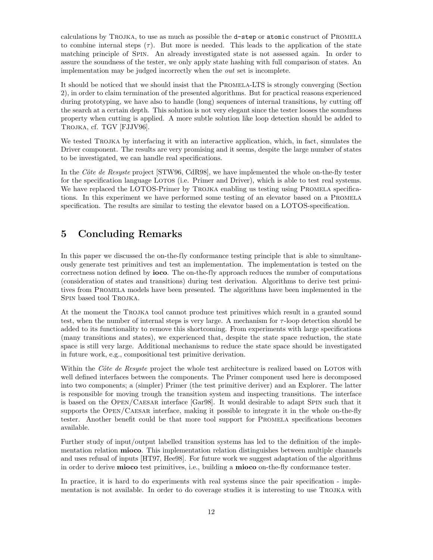calculations by Trojka, to use as much as possible the d-step or atomic construct of Promela to combine internal steps  $(\tau)$ . But more is needed. This leads to the application of the state matching principle of Spin. An already investigated state is not assessed again. In order to assure the soundness of the tester, we only apply state hashing with full comparison of states. An implementation may be judged incorrectly when the out set is incomplete.

It should be noticed that we should insist that the Promela-LTS is strongly converging (Section 2), in order to claim termination of the presented algorithms. But for practical reasons experienced during prototyping, we have also to handle (long) sequences of internal transitions, by cutting off the search at a certain depth. This solution is not very elegant since the tester looses the soundness property when cutting is applied. A more subtle solution like loop detection should be added to TROJKA, cf. TGV [FJJV96].

We tested TROJKA by interfacing it with an interactive application, which, in fact, simulates the Driver component. The results are very promising and it seems, despite the large number of states to be investigated, we can handle real specifications.

In the Côte de Resyste project  $STW96$ , CdR98, we have implemented the whole on-the-fly tester for the specification language LOTOS (i.e. Primer and Driver), which is able to test real systems. We have replaced the LOTOS-Primer by TROJKA enabling us testing using PROMELA specifications. In this experiment we have performed some testing of an elevator based on a Promela specification. The results are similar to testing the elevator based on a LOTOS-specification.

# **5 Concluding Remarks**

In this paper we discussed the on-the-fly conformance testing principle that is able to simultaneously generate test primitives and test an implementation. The implementation is tested on the correctness notion defined by **ioco**. The on-the-fly approach reduces the number of computations (consideration of states and transitions) during test derivation. Algorithms to derive test primitives from Promela models have been presented. The algorithms have been implemented in the SPIN based tool TROJKA.

At the moment the Trojka tool cannot produce test primitives which result in a granted sound test, when the number of internal steps is very large. A mechanism for  $\tau$ -loop detection should be added to its functionality to remove this shortcoming. From experiments with large specifications (many transitions and states), we experienced that, despite the state space reduction, the state space is still very large. Additional mechanisms to reduce the state space should be investigated in future work, e.g., compositional test primitive derivation.

Within the Côte de Resyste project the whole test architecture is realized based on LOTOS with well defined interfaces between the components. The Primer component used here is decomposed into two components; a (simpler) Primer (the test primitive deriver) and an Explorer. The latter is responsible for moving trough the transition system and inspecting transitions. The interface is based on the Open/Caesar interface [Gar98]. It would desirable to adapt Spin such that it supports the OPEN/CAESAR interface, making it possible to integrate it in the whole on-the-fly tester. Another benefit could be that more tool support for Promela specifications becomes available.

Further study of input/output labelled transition systems has led to the definition of the implementation relation **mioco**. This implementation relation distinguishes between multiple channels and uses refusal of inputs [HT97, Hee98]. For future work we suggest adaptation of the algorithms in order to derive **mioco** test primitives, i.e., building a **mioco** on-the-fly conformance tester.

In practice, it is hard to do experiments with real systems since the pair specification - implementation is not available. In order to do coverage studies it is interesting to use Trojka with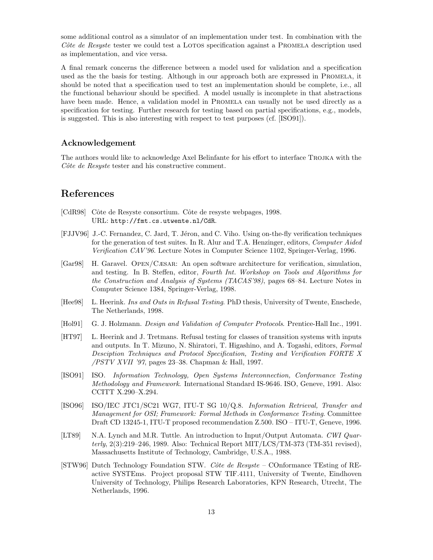some additional control as a simulator of an implementation under test. In combination with the Côte de Resyste tester we could test a LOTOS specification against a PROMELA description used as implementation, and vice versa.

A final remark concerns the difference between a model used for validation and a specification used as the the basis for testing. Although in our approach both are expressed in Promela, it should be noted that a specification used to test an implementation should be complete, i.e., all the functional behaviour should be specified. A model usually is incomplete in that abstractions have been made. Hence, a validation model in PROMELA can usually not be used directly as a specification for testing. Further research for testing based on partial specifications, e.g., models, is suggested. This is also interesting with respect to test purposes (cf. [ISO91]).

# **Acknowledgement**

The authors would like to acknowledge Axel Belinfante for his effort to interface Trojka with the  $C\hat{o}te$  de Resyste tester and his constructive comment.

# **References**

- [CdR98] Cˆote de Resyste consortium. Cˆote de resyste webpages, 1998. URL: http://fmt.cs.utwente.nl/CdR.
- [FJJV96] J.-C. Fernandez, C. Jard, T. Jéron, and C. Viho. Using on-the-fly verification techniques for the generation of test suites. In R. Alur and T.A. Henzinger, editors, Computer Aided Verification CAV'96. Lecture Notes in Computer Science 1102, Springer-Verlag, 1996.
- [Gar98] H. Garavel. Open/Cæsar: An open software architecture for verification, simulation, and testing. In B. Steffen, editor, Fourth Int. Workshop on Tools and Algorithms for the Construction and Analysis of Systems (TACAS'98), pages 68–84. Lecture Notes in Computer Science 1384, Springer-Verlag, 1998.
- [Hee98] L. Heerink. Ins and Outs in Refusal Testing. PhD thesis, University of Twente, Enschede, The Netherlands, 1998.
- [Hol91] G. J. Holzmann. Design and Validation of Computer Protocols. Prentice-Hall Inc., 1991.
- [HT97] L. Heerink and J. Tretmans. Refusal testing for classes of transition systems with inputs and outputs. In T. Mizuno, N. Shiratori, T. Higashino, and A. Togashi, editors, Formal Desciption Techniques and Protocol Specification, Testing and Verification FORTE X /PSTV XVII '97, pages 23–38. Chapman & Hall, 1997.
- [ISO91] ISO. Information Technology, Open Systems Interconnection, Conformance Testing Methodology and Framework. International Standard IS-9646. ISO, Geneve, 1991. Also: CCITT X.290–X.294.
- [ISO96] ISO/IEC JTC1/SC21 WG7, ITU-T SG 10/Q.8. Information Retrieval, Transfer and Management for OSI; Framework: Formal Methods in Conformance Testing. Committee Draft CD 13245-1, ITU-T proposed recommendation Z.500. ISO – ITU-T, Geneve, 1996.
- [LT89] N.A. Lynch and M.R. Tuttle. An introduction to Input/Output Automata. CWI Quarterly,  $2(3):219-246$ , 1989. Also: Technical Report MIT/LCS/TM-373 (TM-351 revised), Massachusetts Institute of Technology, Cambridge, U.S.A., 1988.
- [STW96] Dutch Technology Foundation STW. Côte de Resyste COnformance TEsting of REactive SYSTEms. Project proposal STW TIF.4111, University of Twente, Eindhoven University of Technology, Philips Research Laboratories, KPN Research, Utrecht, The Netherlands, 1996.